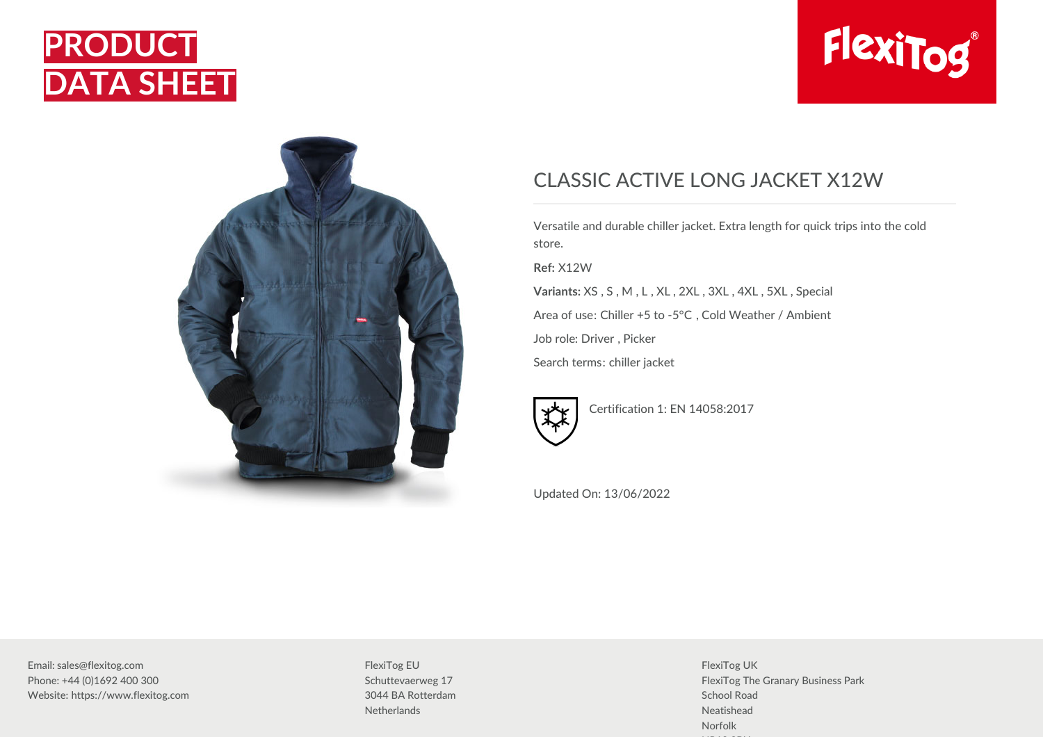





## CLASSIC ACTIVE LONG JACKET X12W

Versatile and durable chiller jacket. Extra length for quick trips into the cold store. **Ref:** X12W

**Variants:** XS , S , M , L , XL , 2XL , 3XL , 4XL , 5XL , Special Area of use: Chiller +5 to -5°C , Cold Weather / Ambient Job role: Driver , Picker

Search terms: chiller jacket



Certification 1: EN 14058:2017

Updated On: 13/06/2022

Email: sales@flexitog.com Phone: +44 (0)1692 400 300 Website: https://www.flexitog.com

FlexiTog EU Schuttevaerweg 17 3044 BA Rotterdam **Netherlands** 

FlexiTog UK FlexiTog The Granary Business Park School Road Neatishead Norfolk